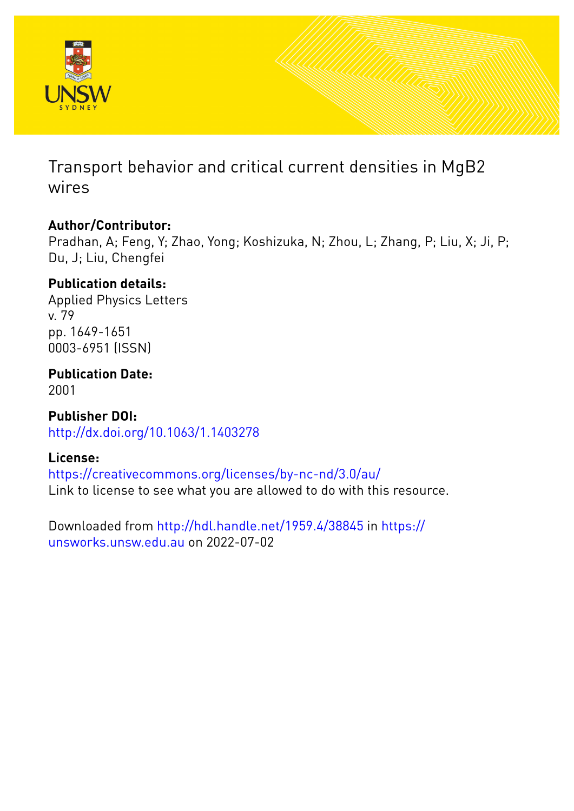

Transport behavior and critical current densities in MgB2 wires

## **Author/Contributor:**

Pradhan, A; Feng, Y; Zhao, Yong; Koshizuka, N; Zhou, L; Zhang, P; Liu, X; Ji, P; Du, J; Liu, Chengfei

## **Publication details:**

Applied Physics Letters v. 79 pp. 1649-1651 0003-6951 (ISSN)

**Publication Date:**

2001

**Publisher DOI:** [http://dx.doi.org/10.1063/1.1403278](http://dx.doi.org/http://dx.doi.org/10.1063/1.1403278)

## **License:**

<https://creativecommons.org/licenses/by-nc-nd/3.0/au/> Link to license to see what you are allowed to do with this resource.

Downloaded from <http://hdl.handle.net/1959.4/38845> in [https://](https://unsworks.unsw.edu.au) [unsworks.unsw.edu.au](https://unsworks.unsw.edu.au) on 2022-07-02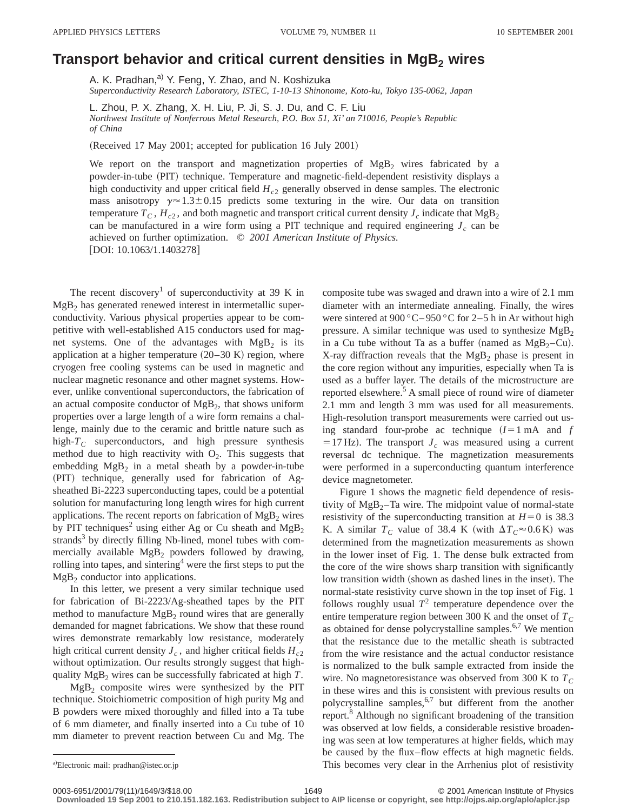## **Transport behavior and critical current densities in MgB<sub>2</sub> wires**

A. K. Pradhan,<sup>a)</sup> Y. Feng, Y. Zhao, and N. Koshizuka *Superconductivity Research Laboratory, ISTEC, 1-10-13 Shinonome, Koto-ku, Tokyo 135-0062, Japan*

L. Zhou, P. X. Zhang, X. H. Liu, P. Ji, S. J. Du, and C. F. Liu *Northwest Institute of Nonferrous Metal Research, P.O. Box 51, Xi' an 710016, People's Republic of China*

(Received 17 May 2001; accepted for publication 16 July 2001)

We report on the transport and magnetization properties of  $MgB<sub>2</sub>$  wires fabricated by a powder-in-tube (PIT) technique. Temperature and magnetic-field-dependent resistivity displays a high conductivity and upper critical field  $H_{c2}$  generally observed in dense samples. The electronic mass anisotropy  $\gamma \approx 1.3 \pm 0.15$  predicts some texturing in the wire. Our data on transition temperature  $T_c$ ,  $H_{c2}$ , and both magnetic and transport critical current density  $J_c$  indicate that MgB<sub>2</sub> can be manufactured in a wire form using a PIT technique and required engineering  $J_c$  can be achieved on further optimization. © *2001 American Institute of Physics.*  $[DOI: 10.1063/1.1403278]$ 

The recent discovery<sup>1</sup> of superconductivity at 39 K in  $MgB<sub>2</sub>$  has generated renewed interest in intermetallic superconductivity. Various physical properties appear to be competitive with well-established A15 conductors used for magnet systems. One of the advantages with  $MgB<sub>2</sub>$  is its application at a higher temperature  $(20-30 \text{ K})$  region, where cryogen free cooling systems can be used in magnetic and nuclear magnetic resonance and other magnet systems. However, unlike conventional superconductors, the fabrication of an actual composite conductor of  $MgB<sub>2</sub>$ , that shows uniform properties over a large length of a wire form remains a challenge, mainly due to the ceramic and brittle nature such as high- $T_c$  superconductors, and high pressure synthesis method due to high reactivity with  $O_2$ . This suggests that embedding  $MgB_2$  in a metal sheath by a powder-in-tube (PIT) technique, generally used for fabrication of Agsheathed Bi-2223 superconducting tapes, could be a potential solution for manufacturing long length wires for high current applications. The recent reports on fabrication of  $MgB<sub>2</sub>$  wires by PIT techniques<sup>2</sup> using either Ag or Cu sheath and  $MgB_2$ strands<sup>3</sup> by directly filling Nb-lined, monel tubes with commercially available  $MgB_2$  powders followed by drawing, rolling into tapes, and sintering<sup>4</sup> were the first steps to put the  $MgB<sub>2</sub>$  conductor into applications.

In this letter, we present a very similar technique used for fabrication of Bi-2223/Ag-sheathed tapes by the PIT method to manufacture  $MgB<sub>2</sub>$  round wires that are generally demanded for magnet fabrications. We show that these round wires demonstrate remarkably low resistance, moderately high critical current density  $J_c$ , and higher critical fields  $H_{c2}$ without optimization. Our results strongly suggest that highquality MgB<sub>2</sub> wires can be successfully fabricated at high *T*.

 $MgB<sub>2</sub>$  composite wires were synthesized by the PIT technique. Stoichiometric composition of high purity Mg and B powders were mixed thoroughly and filled into a Ta tube of 6 mm diameter, and finally inserted into a Cu tube of 10 mm diameter to prevent reaction between Cu and Mg. The composite tube was swaged and drawn into a wire of 2.1 mm diameter with an intermediate annealing. Finally, the wires were sintered at 900 °C-950 °C for 2-5 h in Ar without high pressure. A similar technique was used to synthesize  $MgB<sub>2</sub>$ in a Cu tube without Ta as a buffer (named as  $MgB_2-Cu$ ). X-ray diffraction reveals that the  $MgB<sub>2</sub>$  phase is present in the core region without any impurities, especially when Ta is used as a buffer layer. The details of the microstructure are reported elsewhere.<sup>5</sup> A small piece of round wire of diameter 2.1 mm and length 3 mm was used for all measurements. High-resolution transport measurements were carried out using standard four-probe ac technique  $(I=1 \text{ mA}$  and *f*  $=17$  Hz). The transport  $J_c$  was measured using a current reversal dc technique. The magnetization measurements were performed in a superconducting quantum interference device magnetometer.

Figure 1 shows the magnetic field dependence of resistivity of  $Mg_{2}$ –Ta wire. The midpoint value of normal-state resistivity of the superconducting transition at  $H=0$  is 38.3 K. A similar  $T_c$  value of 38.4 K (with  $\Delta T_c \approx 0.6$  K) was determined from the magnetization measurements as shown in the lower inset of Fig. 1. The dense bulk extracted from the core of the wire shows sharp transition with significantly low transition width (shown as dashed lines in the inset). The normal-state resistivity curve shown in the top inset of Fig. 1 follows roughly usual  $T^2$  temperature dependence over the entire temperature region between 300 K and the onset of  $T_C$ as obtained for dense polycrystalline samples.<sup>6,7</sup> We mention that the resistance due to the metallic sheath is subtracted from the wire resistance and the actual conductor resistance is normalized to the bulk sample extracted from inside the wire. No magnetoresistance was observed from 300 K to  $T_c$ in these wires and this is consistent with previous results on polycrystalline samples,<sup>6,7</sup> but different from the another report.<sup>8</sup> Although no significant broadening of the transition was observed at low fields, a considerable resistive broadening was seen at low temperatures at higher fields, which may be caused by the flux–flow effects at high magnetic fields. This becomes very clear in the Arrhenius plot of resistivity

**Downloaded 19 Sep 2001 to 210.151.182.163. Redistribution subject to AIP license or copyright, see http://ojps.aip.org/aplo/aplcr.jsp**

a)Electronic mail: pradhan@istec.or.jp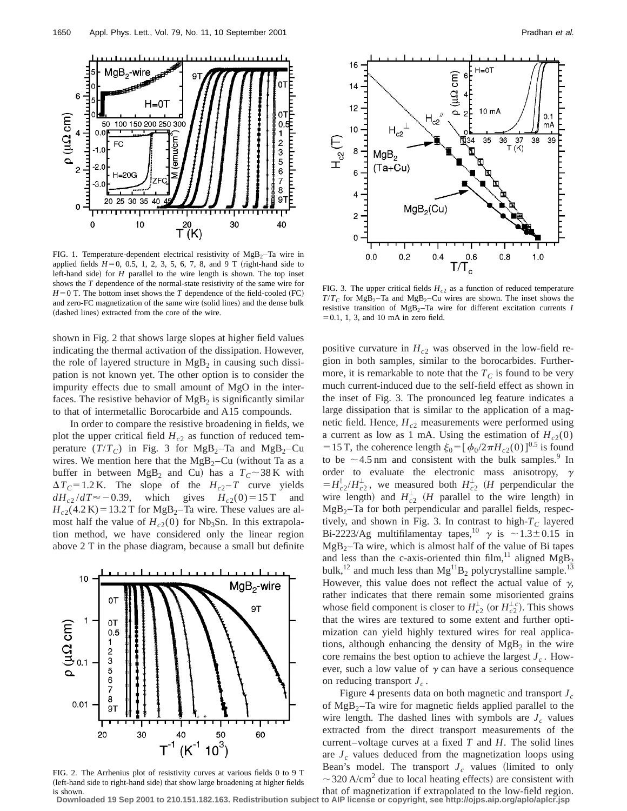

FIG. 1. Temperature-dependent electrical resistivity of  $MgB_2$ -Ta wire in applied fields  $H=0$ , 0.5, 1, 2, 3, 5, 6, 7, 8, and 9 T (right-hand side to left-hand side) for  $H$  parallel to the wire length is shown. The top inset shows the *T* dependence of the normal-state resistivity of the same wire for  $H=0$  T. The bottom inset shows the *T* dependence of the field-cooled (FC) and zero-FC magnetization of the same wire (solid lines) and the dense bulk (dashed lines) extracted from the core of the wire.

shown in Fig. 2 that shows large slopes at higher field values indicating the thermal activation of the dissipation. However, the role of layered structure in  $MgB<sub>2</sub>$  in causing such dissipation is not known yet. The other option is to consider the impurity effects due to small amount of MgO in the interfaces. The resistive behavior of  $MgB<sub>2</sub>$  is significantly similar to that of intermetallic Borocarbide and A15 compounds.

In order to compare the resistive broadening in fields, we plot the upper critical field  $H_{c2}$  as function of reduced temperature  $(T/T_C)$  in Fig. 3 for MgB<sub>2</sub>–Ta and MgB<sub>2</sub>–Cu wires. We mention here that the  $Mg_{2}-Cu$  (without Ta as a buffer in between  $MgB_2$  and Cu) has a  $T_c \sim 38 \text{ K}$  with  $\Delta T_c = 1.2$  K. The slope of the  $H_{c2} - T$  curve yields  $dH_{c2}/dT \approx -0.39$ , which gives  $H_{c2}(0) = 15$  T and  $H_{c2}(4.2 \text{ K})$  = 13.2 T for MgB<sub>2</sub>–Ta wire. These values are almost half the value of  $H_{c2}(0)$  for Nb<sub>3</sub>Sn. In this extrapolation method, we have considered only the linear region above 2 T in the phase diagram, because a small but definite



FIG. 2. The Arrhenius plot of resistivity curves at various fields 0 to 9 T (left-hand side to right-hand side) that show large broadening at higher fields is shown.



FIG. 3. The upper critical fields  $H_{c2}$  as a function of reduced temperature  $T/T_c$  for MgB<sub>2</sub>–Ta and MgB<sub>2</sub>–Cu wires are shown. The inset shows the resistive transition of  $MgB_2$ –Ta wire for different excitation currents *I*  $=0.1$ , 1, 3, and 10 mA in zero field.

positive curvature in  $H_{c2}$  was observed in the low-field region in both samples, similar to the borocarbides. Furthermore, it is remarkable to note that the  $T_c$  is found to be very much current-induced due to the self-field effect as shown in the inset of Fig. 3. The pronounced leg feature indicates a large dissipation that is similar to the application of a magnetic field. Hence,  $H_{c2}$  measurements were performed using a current as low as 1 mA. Using the estimation of  $H_{c2}(0)$ = 15 T, the coherence length  $\xi_0 = [\phi_0/2\pi H_{c2}(0)]^{0.5}$  is found to be  $\sim$  4.5 nm and consistent with the bulk samples.<sup>9</sup> In order to evaluate the electronic mass anisotropy,  $\gamma$  $= H_{c2}^{\parallel}/H_{c2}^{\perp}$ , we measured both  $H_{c2}^{\perp}$  (*H* perpendicular the wire length) and  $H_{c2}^{\perp}$  (*H* parallel to the wire length) in  $MgB<sub>2</sub>$ –Ta for both perpendicular and parallel fields, respectively, and shown in Fig. 3. In contrast to high- $T_c$  layered Bi-2223/Ag multifilamentay tapes,<sup>10</sup>  $\gamma$  is  $\sim$  1.3±0.15 in  $MgB<sub>2</sub>$ –Ta wire, which is almost half of the value of Bi tapes and less than the c-axis-oriented thin film,<sup>11</sup> aligned  $MgB_2$ bulk,<sup>12</sup> and much less than  $Mg^{11}B_2$  polycrystalline sample.<sup>13</sup> However, this value does not reflect the actual value of  $\gamma$ , rather indicates that there remain some misoriented grains whose field component is closer to  $H_{c2}^{\perp}$  (or  $H_{c2}^{\perp}$ ). This shows that the wires are textured to some extent and further optimization can yield highly textured wires for real applications, although enhancing the density of  $MgB<sub>2</sub>$  in the wire core remains the best option to achieve the largest  $J_c$ . However, such a low value of  $\gamma$  can have a serious consequence on reducing transport  $J_c$ .

Figure 4 presents data on both magnetic and transport *Jc* of  $Mg_{2}$ –Ta wire for magnetic fields applied parallel to the wire length. The dashed lines with symbols are  $J_c$  values extracted from the direct transport measurements of the current–voltage curves at a fixed *T* and *H*. The solid lines are  $J_c$  values deduced from the magnetization loops using Bean's model. The transport  $J_c$  values (limited to only  $\sim$ 320 A/cm<sup>2</sup> due to local heating effects) are consistent with

that of magnetization if extrapolated to the low-field region. **Downloaded 19 Sep 2001 to 210.151.182.163. Redistribution subject to AIP license or copyright, see http://ojps.aip.org/aplo/aplcr.jsp**